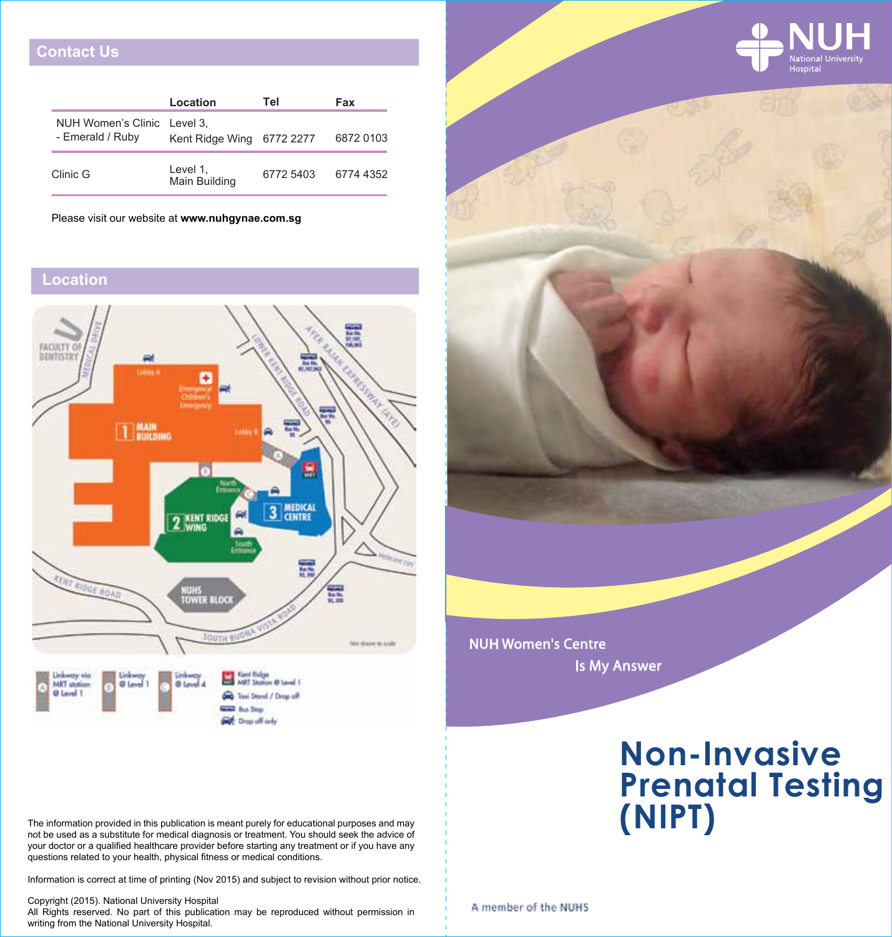# **Contact Us**

|                                                 | Location                  | Tel       | Fax       |
|-------------------------------------------------|---------------------------|-----------|-----------|
| NUH Women's Clinic Level 3,<br>- Emerald / Ruby | Kent Ridge Wing           | 6772 2277 | 6872 0103 |
| Clinic G                                        | Level 1,<br>Main Building | 6772 5403 | 6774 4352 |

Please visit our website at **www.nuhgynae.com.sg**

# **Location**



The information provided in this publication is meant purely for educational purposes and may not be used as a substitute for medical diagnosis or treatment. You should seek the advice of your doctor or a qualified healthcare provider before starting any treatment or if you have any questions related to your health, physical fitness or medical conditions.

Information is correct at time of printing (Nov 2015) and subject to revision without prior notice.

Copyright (2015). National University Hospital

All Rights reserved. No part of this publication may be reproduced without permission in writing from the National University Hospital.

# **Non-Invasive Prenatal Testing (NIPT)** NUH Women's Centre Is My Answer

A member of the NUHS